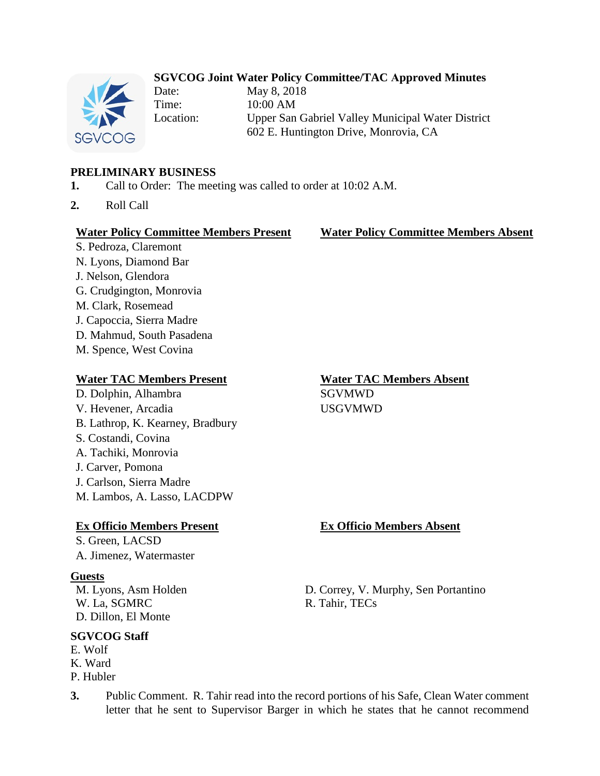## **SGVCOG Joint Water Policy Committee/TAC Approved Minutes**



Date: May 8, 2018 Time: 10:00 AM Location: Upper San Gabriel Valley Municipal Water District 602 E. Huntington Drive, Monrovia, CA

## **PRELIMINARY BUSINESS**

- **1.** Call to Order: The meeting was called to order at 10:02 A.M.
- **2.** Roll Call

### **Water Policy Committee Members Present Water Policy Committee Members Absent**

S. Pedroza, Claremont N. Lyons, Diamond Bar J. Nelson, Glendora G. Crudgington, Monrovia M. Clark, Rosemead J. Capoccia, Sierra Madre D. Mahmud, South Pasadena M. Spence, West Covina

### **Water TAC Members Present Water TAC Members Absent**

D. Dolphin, Alhambra SGVMWD V. Hevener, Arcadia USGVMWD B. Lathrop, K. Kearney, Bradbury S. Costandi, Covina A. Tachiki, Monrovia J. Carver, Pomona J. Carlson, Sierra Madre M. Lambos, A. Lasso, LACDPW

### **Ex Officio Members Present Ex Officio Members Absent**

S. Green, LACSD A. Jimenez, Watermaster

### **Guests**

W. La, SGMRC R. Tahir, TECs D. Dillon, El Monte

## **SGVCOG Staff**

E. Wolf K. Ward P. Hubler

M. Lyons, Asm Holden D. Correy, V. Murphy, Sen Portantino

**3.** Public Comment. R. Tahir read into the record portions of his Safe, Clean Water comment letter that he sent to Supervisor Barger in which he states that he cannot recommend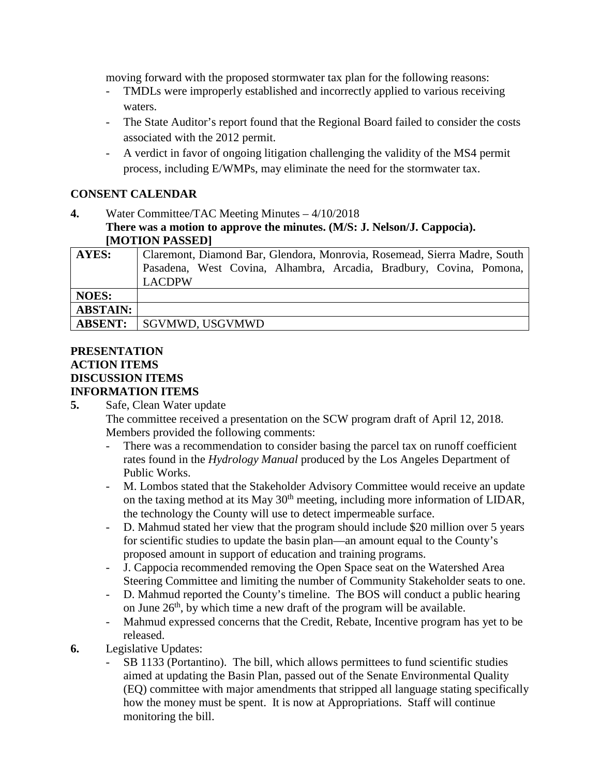moving forward with the proposed stormwater tax plan for the following reasons:

- TMDLs were improperly established and incorrectly applied to various receiving waters.
- The State Auditor's report found that the Regional Board failed to consider the costs associated with the 2012 permit.
- A verdict in favor of ongoing litigation challenging the validity of the MS4 permit process, including E/WMPs, may eliminate the need for the stormwater tax.

# **CONSENT CALENDAR**

**4.** Water Committee/TAC Meeting Minutes – 4/10/2018 **There was a motion to approve the minutes. (M/S: J. Nelson/J. Cappocia). [MOTION PASSED]**

| AYES:           | Claremont, Diamond Bar, Glendora, Monrovia, Rosemead, Sierra Madre, South |
|-----------------|---------------------------------------------------------------------------|
|                 | Pasadena, West Covina, Alhambra, Arcadia, Bradbury, Covina, Pomona,       |
|                 | <b>LACDPW</b>                                                             |
| <b>NOES:</b>    |                                                                           |
| <b>ABSTAIN:</b> |                                                                           |
| <b>ABSENT:</b>  | SGVMWD, USGVMWD                                                           |

## **PRESENTATION ACTION ITEMS DISCUSSION ITEMS INFORMATION ITEMS**

**5.** Safe, Clean Water update The committee received a presentation on the SCW program draft of April 12, 2018. Members provided the following comments:

- There was a recommendation to consider basing the parcel tax on runoff coefficient rates found in the *Hydrology Manual* produced by the Los Angeles Department of Public Works.
- M. Lombos stated that the Stakeholder Advisory Committee would receive an update on the taxing method at its May 30<sup>th</sup> meeting, including more information of LIDAR, the technology the County will use to detect impermeable surface.
- D. Mahmud stated her view that the program should include \$20 million over 5 years for scientific studies to update the basin plan—an amount equal to the County's proposed amount in support of education and training programs.
- J. Cappocia recommended removing the Open Space seat on the Watershed Area Steering Committee and limiting the number of Community Stakeholder seats to one.
- D. Mahmud reported the County's timeline. The BOS will conduct a public hearing on June  $26<sup>th</sup>$ , by which time a new draft of the program will be available.
- Mahmud expressed concerns that the Credit, Rebate, Incentive program has yet to be released.
- **6.** Legislative Updates:
	- SB 1133 (Portantino). The bill, which allows permittees to fund scientific studies aimed at updating the Basin Plan, passed out of the Senate Environmental Quality (EQ) committee with major amendments that stripped all language stating specifically how the money must be spent. It is now at Appropriations. Staff will continue monitoring the bill.